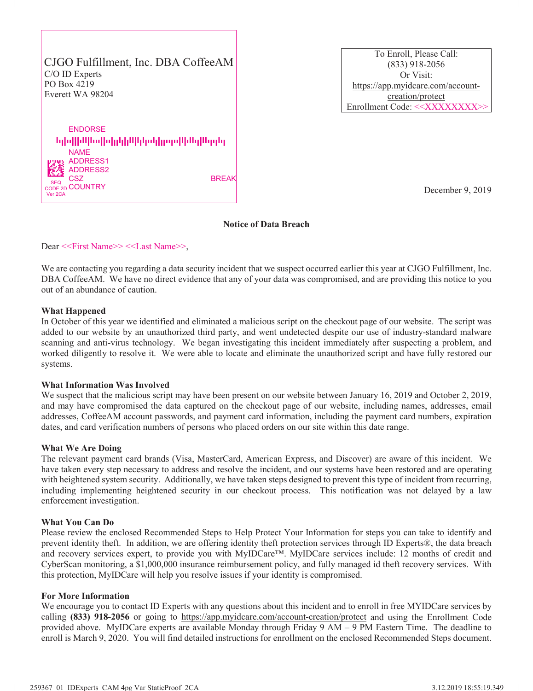CJGO Fulfillment, Inc. DBA CoffeeAM C/O ID Experts PO Box 4219 Everett WA 98204

---------------- ENDORSE NAME ADDRESS1 ADDRESS2 CSZ BREAK  $\zeta_{\text{D}}$  COUNTRY ww Y/ hNz8(J&dZ **SEQ CODE** Ver 2CA

To Enroll, Please Call: [\(833\) 918-2056](https://app.myidcare.com/account-creation/protect) Or Visit: [https://app.myidcare.c](https://app.myidcare.com/account-creation/protect)om/accountcreation/protect Enrollment Code: <<XXXXXXXX>>

December 9, 2019

# **Notice of Data Breach**

Dear <<First Name>> <<Last Name>>,

We are contacting you regarding a data security incident that we suspect occurred earlier this year at CJGO Fulfillment, Inc. DBA CoffeeAM. We have no direct evidence that any of your data was compromised, and are providing this notice to you out of an abundance of caution.

# **What Happened**

In October of this year we identified and eliminated a malicious script on the checkout page of our website. The script was added to our website by an unauthorized third party, and went undetected despite our use of industry-standard malware scanning and anti-virus technology. We began investigating this incident immediately after suspecting a problem, and worked diligently to resolve it. We were able to locate and eliminate the unauthorized script and have fully restored our systems.

### **What Information Was Involved**

We suspect that the malicious script may have been present on our website between January 16, 2019 and October 2, 2019, and may have compromised the data captured on the checkout page of our website, including names, addresses, email addresses, CoffeeAM account passwords, and payment card information, including the payment card numbers, expiration dates, and card verification numbers of persons who placed orders on our site within this date range.

### **What We Are Doing**

The relevant payment card brands (Visa, MasterCard, American Express, and Discover) are aware of this incident. We have taken every step necessary to address and resolve the incident, and our systems have been restored and are operating with heightened system security. Additionally, we have taken steps designed to prevent this type of incident from recurring, including implementing heightened security in our checkout process. This notification was not delayed by a law enforcement investigation.

### **What You Can Do**

Please review the enclosed Recommended Steps to Help Protect Your Information for steps you can take to identify and prevent identity theft. In addition, we are offering identity theft protection services through ID Experts®, the data breach and recovery services expert, to provide you with MyIDCare™. MyIDCare services include: 12 months of credit and CyberScan monitoring, a \$1,000,000 insurance reimbursement policy, and fully managed id theft recovery services. With this protection, MyIDCare will help you resolve issues if your identity is compromised.

### **For More Information**

We encourage you to contact ID [Experts with any questions about this incident and to](https://app.myidcare.com/account-creation/protect) enroll in free MYIDCare services by calling **(833) 918-2056** or going to https://app.myidcare.com/account-creation/protect and using the Enrollment Code provided above. MyIDCare experts are available Monday through Friday 9 AM – 9 PM Eastern Time. The deadline to enroll is March 9, 2020. You will find detailed instructions for enrollment on the enclosed Recommended Steps document.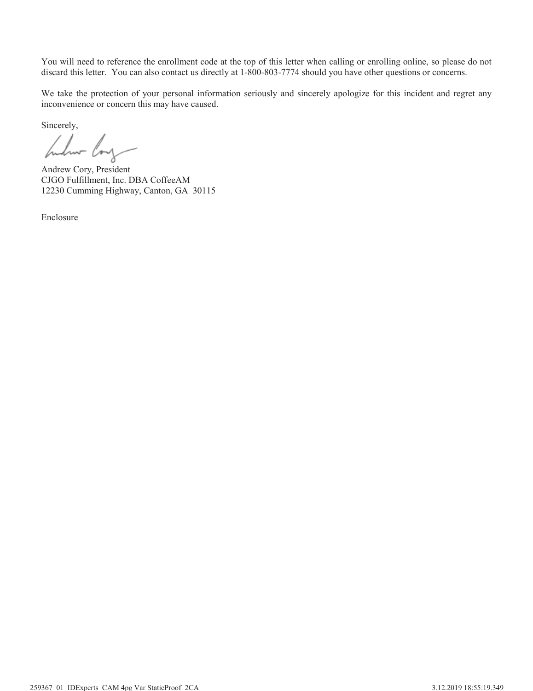You will need to reference the enrollment code at the top of this letter when calling or enrolling online, so please do not discard this letter. You can also contact us directly at 1-800-803-7774 should you have other questions or concerns.

We take the protection of your personal information seriously and sincerely apologize for this incident and regret any inconvenience or concern this may have caused.

Sincerely,

 $\mathbf{I}$ 

bulur loy

Andrew Cory, President CJGO Fulfillment, Inc. DBA CoffeeAM 12230 Cumming Highway, Canton, GA 30115

Enclosure

 $\mathbf{I}$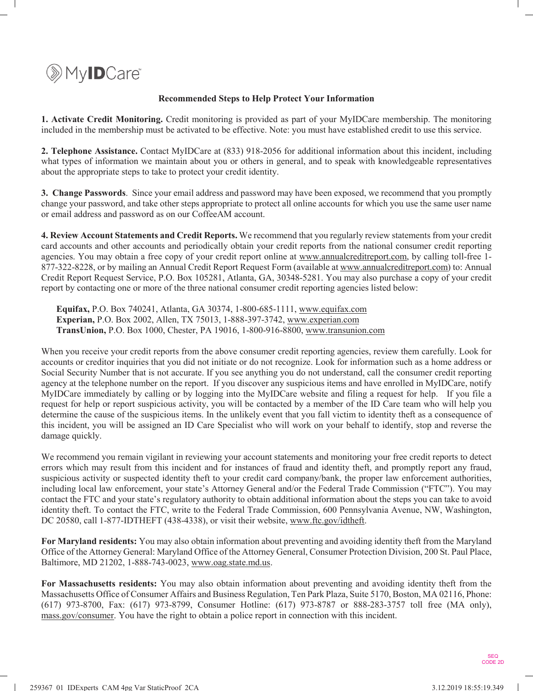

# **Recommended Steps to Help Protect Your Information**

**1. Activate Credit Monitoring.** Credit monitoring is provided as part of your MyIDCare membership. The monitoring included in the membership must be activated to be effective. Note: you must have established credit to use this service.

**2. Telephone Assistance.** Contact MyIDCare at (833) 918-2056 for additional information about this incident, including what types of information we maintain about you or others in general, and to speak with knowledgeable representatives about the appropriate steps to take to protect your credit identity.

**3. Change Passwords**. Since your email address and password may have been exposed, we recommend that you promptly change your password, and take other steps appropriate to protect all online accounts for which you use the same user name or email address and password as on our CoffeeAM account.

**4. Review Account Statements and Credit Reports.** We recommend that you regularly review statements from your credit card accounts and other accounts and periodically obtain your c[redit reports from the national](http://www.annualcreditreport.com/) consumer credit reporting agencies. You may obtain a free copy of your credit report online at www.[annualcreditreport.com, by cal](http://www.annualcreditreport.com/)ling toll-free 1- 877-322-8228, or by mailing an Annual Credit Report Request Form (available at www.annualcreditreport.com) to: Annual Credit Report Request Service, P.O. Box 105281, Atlanta, GA, 30348-5281. You may also purchase a copy of your credit report by contacting one or more of the three national consumer [credit reporting agen](http://www.equifax.com/)cies listed below:

**Equifax,** P.O. Box 740241, Atlanta, GA 30374, 1-800-68[5-111](http://www.experian.com/)[1, www.equifax.com](http://www.transunion.com/) **Experian,** P.O. Box 2002, Allen, TX 75013, 1-888-397-3742, www.experian.com **TransUnion,** P.O. Box 1000, Chester, PA 19016, 1-800-916-8800, www.transunion.com

When you receive your credit reports from the above consumer credit reporting agencies, review them carefully. Look for accounts or creditor inquiries that you did not initiate or do not recognize. Look for information such as a home address or Social Security Number that is not accurate. If you see anything you do not understand, call the consumer credit reporting agency at the telephone number on the report. If you discover any suspicious items and have enrolled in MyIDCare, notify MyIDCare immediately by calling or by logging into the MyIDCare website and filing a request for help. If you file a request for help or report suspicious activity, you will be contacted by a member of the ID Care team who will help you determine the cause of the suspicious items. In the unlikely event that you fall victim to identity theft as a consequence of this incident, you will be assigned an ID Care Specialist who will work on your behalf to identify, stop and reverse the damage quickly.

We recommend you remain vigilant in reviewing your account statements and monitoring your free credit reports to detect errors which may result from this incident and for instances of fraud and identity theft, and promptly report any fraud, suspicious activity or suspected identity theft to your credit card company/bank, the proper law enforcement authorities, including local law enforcement, your state's Attorney General and/or the Federal Trade Commission ("FTC"). You may contact the FTC and your state's regulatory authority to obtain additional information about the steps you can take to avoid identity theft. To contact the FTC, write to the Federal Trade [Commission, 600 Penn](http://www.ftc.gov/idtheft.)sylvania Avenue, NW, Washington, DC 20580, call 1-877-IDTHEFT (438-4338), or visit their website, www.ftc.gov/idtheft.

**For Maryland residents:** You may also obtain information about preventing and avoiding identity theft from the Maryland Office of the Attorney General: Mar[yland Office of the Atto](http://www.oag.state.md.us/)rney General, Consumer Protection Division, 200 St. Paul Place, Baltimore, MD 21202, 1-888-743-0023, www.oag.state.md.us.

**For Massachusetts residents:** You may also obtain information about preventing and avoiding identity theft from the Massachusetts Office of Consumer Affairs and Business Regulation, Ten Park Plaza, Suite 5170, Boston, MA 02116, Phone: [\(617\) 973-8700,](http://mass.gov/consumer.) Fax: (617) 973-8799, Consumer Hotline: (617) 973-8787 or 888-283-3757 toll free (MA only), mass.gov/consumer. You have the right to obtain a police report in connection with this incident.